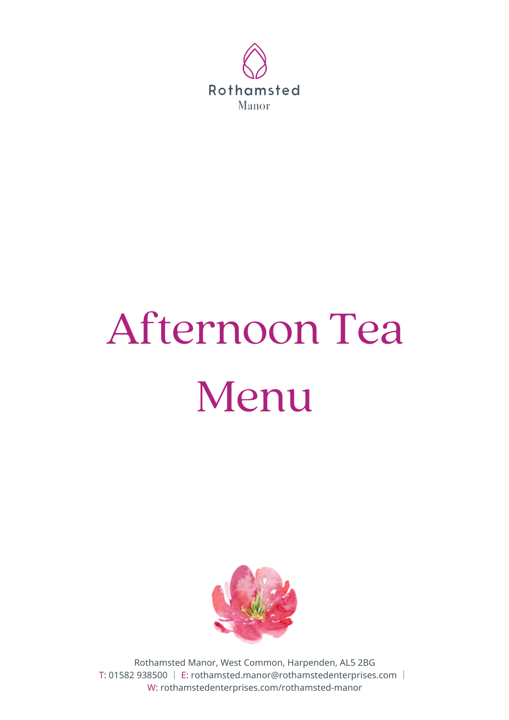

# Afternoon Tea



# Menu



Rothamsted Manor, West Common, Harpenden, AL5 2BG T: 01582 938500 │ E: rothamsted.manor@rothamstedenterprises.com │ W: rothamstedenterprises.com/rothamsted-manor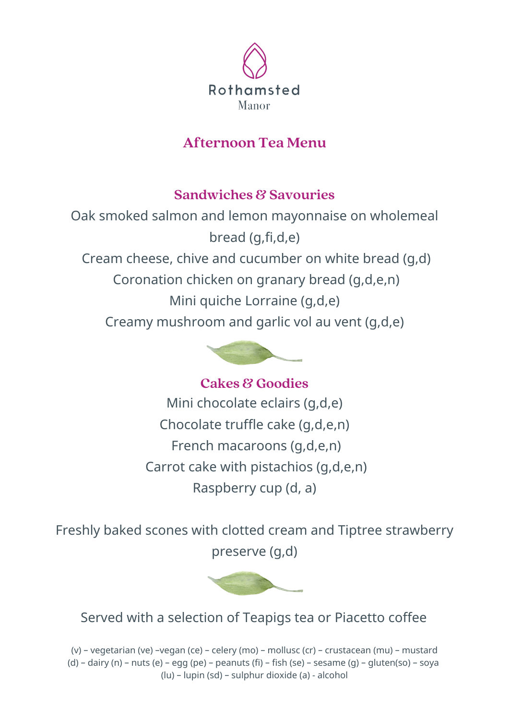Oak smoked salmon and lemon mayonnaise on wholemeal bread (g,fi,d,e)

Cream cheese, chive and cucumber on white bread (g,d)

Coronation chicken on granary bread (g,d,e,n)

Mini quiche Lorraine (g,d,e)

Creamy mushroom and garlic vol au vent (g,d,e)



Mini chocolate eclairs (g,d,e) Chocolate truffle cake (g,d,e,n) French macaroons (g,d,e,n) Carrot cake with pistachios (g,d,e,n) Raspberry cup (d, a) **Cakes & Goodies**

Freshly baked scones with clotted cream and Tiptree strawberry preserve (g,d)



# **Sandwiches & Savouries**

#### Served with a selection of Teapigs tea or Piacetto coffee

(v) – vegetarian (ve) –vegan (ce) – celery (mo) – mollusc (cr) – crustacean (mu) – mustard (d) – dairy (n) – nuts (e) – egg (pe) – peanuts (fi) – fish (se) – sesame (g) – gluten(so) – soya (lu) – lupin (sd) – sulphur dioxide (a) - alcohol



# **Afternoon Tea Menu**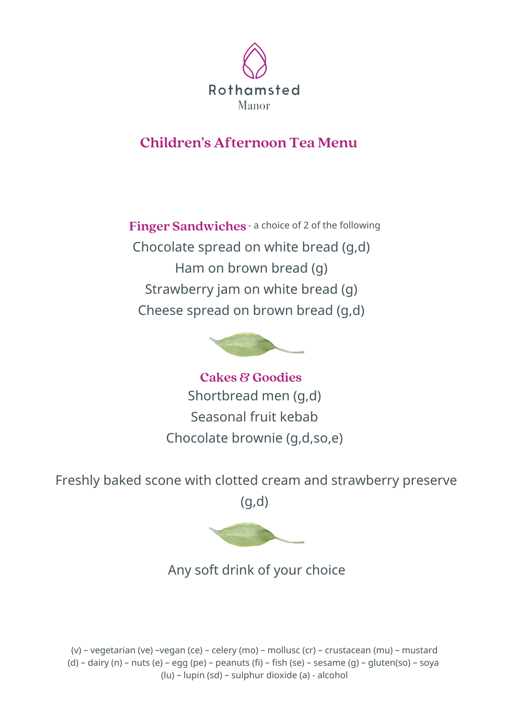

#### **Children's Afternoon Tea Menu**

**Finger Sandwiches** - <sup>a</sup> choice of <sup>2</sup> of the following Chocolate spread on white bread (g,d) Ham on brown bread (g) Strawberry jam on white bread (g) Cheese spread on brown bread (g,d)



**Cakes & Goodies**

Shortbread men (g,d) Seasonal fruit kebab Chocolate brownie (g,d,so,e)

Freshly baked scone with clotted cream and strawberry preserve

(g,d)



(v) – vegetarian (ve) –vegan (ce) – celery (mo) – mollusc (cr) – crustacean (mu) – mustard (d) – dairy (n) – nuts (e) – egg (pe) – peanuts (fi) – fish (se) – sesame (g) – gluten(so) – soya (lu) – lupin (sd) – sulphur dioxide (a) - alcohol

Any soft drink of your choice